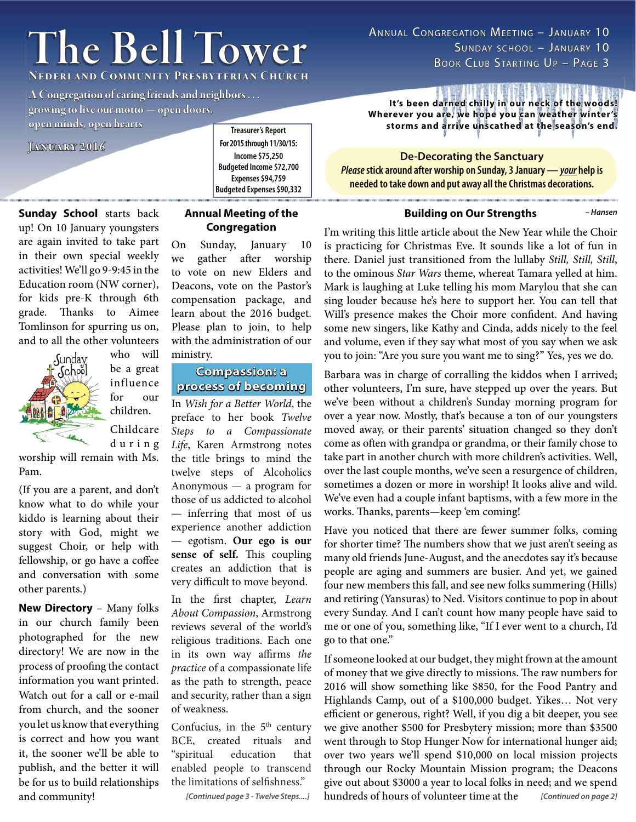# **The Bell Tower he**

**Nederland Community Presbyterian Church ederland** 

**A Congregation of caring friends and neighbors . . .** 

**growing to live our motto — open doors, rowing live open minds, open hearts pen** 

**January 2016 anuary** 

**Treasurer's Report For 2015 through 11/30/15: Income \$75,250 Budgeted Income \$72,700 Expenses \$94,759 Budgeted Expenses \$90,332**

**Sunday School** starts back up! On 10 January youngsters are again invited to take part in their own special weekly activities! We'll go 9-9:45 in the Education room (NW corner), for kids pre-K through 6th grade. Thanks to Aimee Tomlinson for spurring us on, and to all the other volunteers



who will be a great influence for our children. Childcare d u r i n g

worship will remain with Ms. Pam.

(If you are a parent, and don't know what to do while your kiddo is learning about their story with God, might we suggest Choir, or help with fellowship, or go have a coffee and conversation with some other parents.)

**New Directory** – Many folks in our church family been photographed for the new directory! We are now in the process of proofing the contact information you want printed. Watch out for a call or e-mail from church, and the sooner you let us know that everything is correct and how you want it, the sooner we'll be able to publish, and the better it will be for us to build relationships and community!

## **Annual Meeting of the Congregation**

On Sunday, January 10 we gather after worship to vote on new Elders and Deacons, vote on the Pastor's compensation package, and learn about the 2016 budget. Please plan to join, to help with the administration of our ministry.

## **Compassion: a<br>process of becoming**

In *Wish for a Better World*, the **process of becoming rocess**  preface to her book *Twelve Steps to a Compassionate Life*, Karen Armstrong notes the title brings to mind the twelve steps of Alcoholics Anonymous — a program for those of us addicted to alcohol — inferring that most of us experience another addiction — egotism. **Our ego is our**  sense of self. This coupling creates an addiction that is very difficult to move beyond.

In the first chapter, *Learn About Compassion*, Armstrong reviews several of the world's religious traditions. Each one in its own way affirms *the practice* of a compassionate life as the path to strength, peace and security, rather than a sign of weakness.

Confucius, in the  $5<sup>th</sup>$  century BCE, created rituals and "spiritual education that enabled people to transcend the limitations of selfishness."

*[Continued page 3 - Twelve Steps....]*

ANNUAL CONGREGATION MEETING – JANUARY 10 SUNDAY SCHOOL– JANUARY10 BOOK CLUB STARTING UP - PAGE 3

It's been darned chilly in our neck of the woods! Wherever you are, we hope you can weather winter's storms and arrive unscathed at the season's end.

**De-Decorating the Sanctuary** *Please* **stick around after worship on Sunday, 3 January —** *your* **help is needed to take down and put away all the Christmas decorations.**

**Building on Our Strengths**

*– Hansen*

I'm writing this little article about the New Year while the Choir is practicing for Christmas Eve. It sounds like a lot of fun in there. Daniel just transitioned from the lullaby *Still, Still, Still*, to the ominous *Star Wars* theme, whereat Tamara yelled at him. Mark is laughing at Luke telling his mom Marylou that she can sing louder because he's here to support her. You can tell that Will's presence makes the Choir more confident. And having some new singers, like Kathy and Cinda, adds nicely to the feel and volume, even if they say what most of you say when we ask you to join: "Are you sure you want me to sing?" Yes, yes we do.

Barbara was in charge of corralling the kiddos when I arrived; other volunteers, I'm sure, have stepped up over the years. But we've been without a children's Sunday morning program for over a year now. Mostly, that's because a ton of our youngsters moved away, or their parents' situation changed so they don't come as often with grandpa or grandma, or their family chose to take part in another church with more children's activities. Well, over the last couple months, we've seen a resurgence of children, sometimes a dozen or more in worship! It looks alive and wild. We've even had a couple infant baptisms, with a few more in the works. Thanks, parents—keep 'em coming!

Have you noticed that there are fewer summer folks, coming for shorter time? The numbers show that we just aren't seeing as many old friends June-August, and the anecdotes say it's because people are aging and summers are busier. And yet, we gained four new members this fall, and see new folks summering (Hills) and retiring (Yansuras) to Ned. Visitors continue to pop in about every Sunday. And I can't count how many people have said to me or one of you, something like, "If I ever went to a church, I'd go to that one."

If someone looked at our budget, they might frown at the amount of money that we give directly to missions. The raw numbers for 2016 will show something like \$850, for the Food Pantry and Highlands Camp, out of a \$100,000 budget. Yikes… Not very efficient or generous, right? Well, if you dig a bit deeper, you see we give another \$500 for Presbytery mission; more than \$3500 went through to Stop Hunger Now for international hunger aid; over two years we'll spend \$10,000 on local mission projects through our Rocky Mountain Mission program; the Deacons give out about \$3000 a year to local folks in need; and we spend hundreds of hours of volunteer time at the *[Continued on page 2]*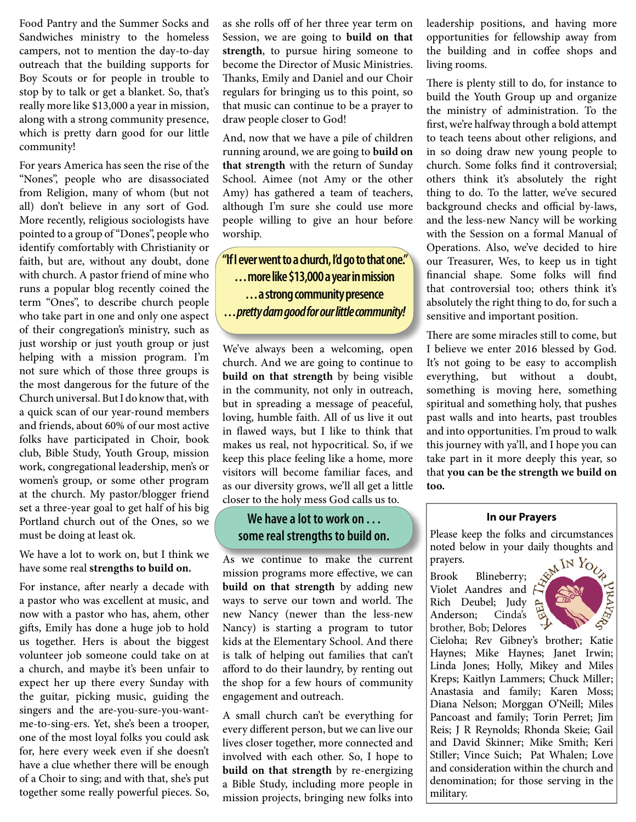Food Pantry and the Summer Socks and Sandwiches ministry to the homeless campers, not to mention the day-to-day outreach that the building supports for Boy Scouts or for people in trouble to stop by to talk or get a blanket. So, that's really more like \$13,000 a year in mission, along with a strong community presence, which is pretty darn good for our little community!

For years America has seen the rise of the "Nones", people who are disassociated from Religion, many of whom (but not all) don't believe in any sort of God. More recently, religious sociologists have pointed to a group of "Dones", people who identify comfortably with Christianity or faith, but are, without any doubt, done with church. A pastor friend of mine who runs a popular blog recently coined the term "Ones", to describe church people who take part in one and only one aspect of their congregation's ministry, such as just worship or just youth group or just helping with a mission program. I'm not sure which of those three groups is the most dangerous for the future of the Church universal. But I do know that, with a quick scan of our year-round members and friends, about 60% of our most active folks have participated in Choir, book club, Bible Study, Youth Group, mission work, congregational leadership, men's or women's group, or some other program at the church. My pastor/blogger friend set a three-year goal to get half of his big Portland church out of the Ones, so we must be doing at least ok.

We have a lot to work on, but I think we have some real **strengths to build on.**

For instance, after nearly a decade with a pastor who was excellent at music, and now with a pastor who has, ahem, other gifts, Emily has done a huge job to hold us together. Hers is about the biggest volunteer job someone could take on at a church, and maybe it's been unfair to expect her up there every Sunday with the guitar, picking music, guiding the singers and the are-you-sure-you-wantme-to-sing-ers. Yet, she's been a trooper, one of the most loyal folks you could ask for, here every week even if she doesn't have a clue whether there will be enough of a Choir to sing; and with that, she's put together some really powerful pieces. So,

as she rolls off of her three year term on Session, we are going to **build on that strength**, to pursue hiring someone to become the Director of Music Ministries. Thanks, Emily and Daniel and our Choir regulars for bringing us to this point, so that music can continue to be a prayer to draw people closer to God!

And, now that we have a pile of children running around, we are going to **build on that strength** with the return of Sunday School. Aimee (not Amy or the other Amy) has gathered a team of teachers, although I'm sure she could use more people willing to give an hour before worship.

**"If I ever went to a church, I'd go to that one." . . . more like \$13,000 a year in mission . . . a strong community presence . . .** *pretty darn good for our little community!*

We've always been a welcoming, open church. And we are going to continue to **build on that strength** by being visible in the community, not only in outreach, but in spreading a message of peaceful, loving, humble faith. All of us live it out in flawed ways, but I like to think that makes us real, not hypocritical. So, if we keep this place feeling like a home, more visitors will become familiar faces, and as our diversity grows, we'll all get a little closer to the holy mess God calls us to.

## **We have a lot to work on . . . some real strengths to build on.**

As we continue to make the current As we continue to make the current mission programs more effective, we can **build on that strength** by adding new ways to serve our town and world. The new Nancy (newer than the less-new Nancy) is starting a program to tutor kids at the Elementary School. And there is talk of helping out families that can't afford to do their laundry, by renting out the shop for a few hours of community engagement and outreach.

A small church can't be everything for every different person, but we can live our lives closer together, more connected and involved with each other. So, I hope to **build on that strength** by re-energizing a Bible Study, including more people in mission projects, bringing new folks into

leadership positions, and having more opportunities for fellowship away from the building and in coffee shops and living rooms.

There is plenty still to do, for instance to build the Youth Group up and organize the ministry of administration. To the first, we're halfway through a bold attempt to teach teens about other religions, and in so doing draw new young people to church. Some folks find it controversial; others think it's absolutely the right thing to do. To the latter, we've secured background checks and official by-laws, and the less-new Nancy will be working with the Session on a formal Manual of Operations. Also, we've decided to hire our Treasurer, Wes, to keep us in tight financial shape. Some folks will find that controversial too; others think it's absolutely the right thing to do, for such a sensitive and important position.

There are some miracles still to come, but I believe we enter 2016 blessed by God. It's not going to be easy to accomplish everything, but without a doubt, something is moving here, something spiritual and something holy, that pushes past walls and into hearts, past troubles and into opportunities. I'm proud to walk this journey with ya'll, and I hope you can take part in it more deeply this year, so that **you can be the strength we build on too.** 

#### **In our Prayers**

Please keep the folks and circumstances noted below in your daily thoughts and prayers.

Brook Blineberry; Violet Aandres and Rich Deubel; Judy Anderson; Cinda's brother, Bob; Delores



Cieloha; Rev Gibney's brother; Katie Haynes; Mike Haynes; Janet Irwin; Linda Jones; Holly, Mikey and Miles Kreps; Kaitlyn Lammers; Chuck Miller; Anastasia and family; Karen Moss; Diana Nelson; Morggan O'Neill; Miles Pancoast and family; Torin Perret; Jim Reis; J R Reynolds; Rhonda Skeie; Gail and David Skinner; Mike Smith; Keri Stiller; Vince Suich; Pat Whalen; Love and consideration within the church and denomination; for those serving in the military.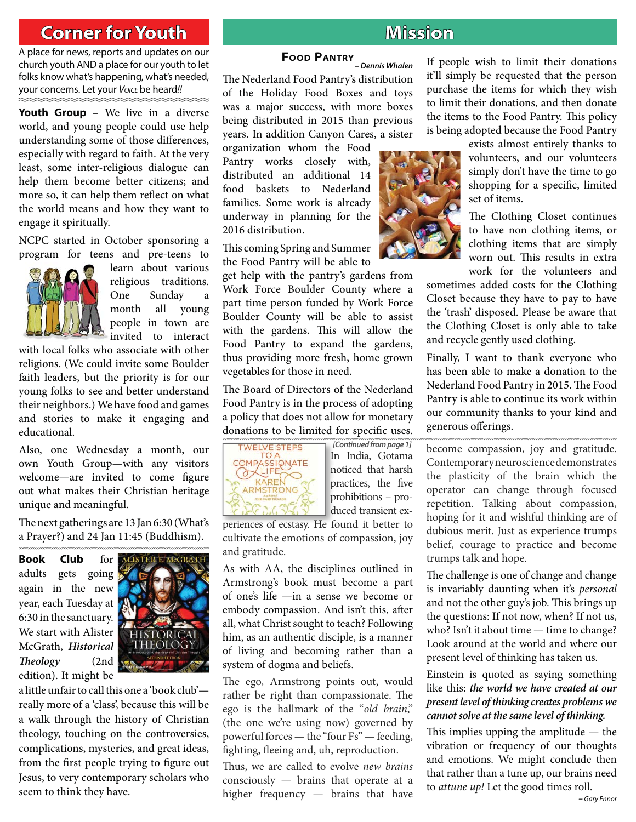## **Corner for Youth**

**CORNER FOR YOU HOUSE CORPORATION** church youth AND a place for our youth to let folks know what's happening, what's needed, your concerns. Let your *VOICE* be heard*!!*

**Youth Group** – We live in a diverse world, and young people could use help understanding some of those differences, especially with regard to faith. At the very least, some inter-religious dialogue can help them become better citizens; and more so, it can help them reflect on what the world means and how they want to engage it spiritually.

NCPC started in October sponsoring a program for teens and pre-teens to



learn about various religious traditions. One Sunday month all young people in town are invited to interact

with local folks who associate with other religions. (We could invite some Boulder faith leaders, but the priority is for our young folks to see and better understand their neighbors.) We have food and games and stories to make it engaging and educational.

Also, one Wednesday a month, our own Youth Group—with any visitors welcome—are invited to come figure out what makes their Christian heritage unique and meaningful.

The next gatherings are 13 Jan 6:30 (What's a Prayer?) and 24 Jan 11:45 (Buddhism).

**Book Club** for adults gets going again in the new year, each Tuesday at 6:30 in the sanctuary. We start with Alister McGrath, *Historical Th eology* (2nd edition). It might be



a little unfair to call this one a 'book club' really more of a 'class', because this will be a walk through the history of Christian theology, touching on the controversies, complications, mysteries, and great ideas, from the first people trying to figure out Jesus, to very contemporary scholars who seem to think they have.

## **Mission**

**FOOD PANTRY** *– Dennis Whalen* The Nederland Food Pantry's distribution of the Holiday Food Boxes and toys was a major success, with more boxes being distributed in 2015 than previous years. In addition Canyon Cares, a sister

organization whom the Food Pantry works closely with, distributed an additional 14 food baskets to Nederland families. Some work is already underway in planning for the 2016 distribution.

This coming Spring and Summer the Food Pantry will be able to

get help with the pantry's gardens from Work Force Boulder County where a part time person funded by Work Force Boulder County will be able to assist with the gardens. This will allow the Food Pantry to expand the gardens, thus providing more fresh, home grown vegetables for those in need.

The Board of Directors of the Nederland Food Pantry is in the process of adopting a policy that does not allow for monetary donations to be limited for specific uses.



In India, Gotama In noticed that harsh n practices, the five prohibitions – pro-p duced transient ex-d *[Continued from page 1]*

periences of ecstasy. He found it better to cultivate the emotions of compassion, joy and gratitude.

As with AA, the disciplines outlined in Armstrong's book must become a part of one's life —in a sense we become or embody compassion. And isn't this, after all, what Christ sought to teach? Following him, as an authentic disciple, is a manner of living and becoming rather than a system of dogma and beliefs.

The ego, Armstrong points out, would rather be right than compassionate. The ego is the hallmark of the "*old brain*," (the one we're using now) governed by powerful forces — the "four Fs" — feeding, fighting, fleeing and, uh, reproduction.

Thus, we are called to evolve *new brains* consciously — brains that operate at a higher frequency — brains that have If people wish to limit their donations it'll simply be requested that the person purchase the items for which they wish to limit their donations, and then donate the items to the Food Pantry. This policy is being adopted because the Food Pantry



exists almost entirely thanks to volunteers, and our volunteers simply don't have the time to go shopping for a specific, limited set of items.

The Clothing Closet continues to have non clothing items, or clothing items that are simply worn out. This results in extra work for the volunteers and

sometimes added costs for the Clothing Closet because they have to pay to have the 'trash' disposed. Please be aware that the Clothing Closet is only able to take and recycle gently used clothing.

Finally, I want to thank everyone who has been able to make a donation to the Nederland Food Pantry in 2015. The Food Pantry is able to continue its work within our community thanks to your kind and generous offerings.

become compassion, joy and gratitude. Contemporary neuroscience demonstrates the plasticity of the brain which the operator can change through focused repetition. Talking about compassion, hoping for it and wishful thinking are of dubious merit. Just as experience trumps belief, courage to practice and become trumps talk and hope.

The challenge is one of change and change is invariably daunting when it's *personal*  and not the other guy's job. This brings up the questions: If not now, when? If not us, who? Isn't it about time — time to change? Look around at the world and where our present level of thinking has taken us.

Einstein is quoted as saying something like this: *the world we have created at our present level of thinking creates problems we cannot solve at the same level of thinking.*

This implies upping the amplitude  $-$  the vibration or frequency of our thoughts and emotions. We might conclude then that rather than a tune up, our brains need to *attune up!* Let the good times roll.